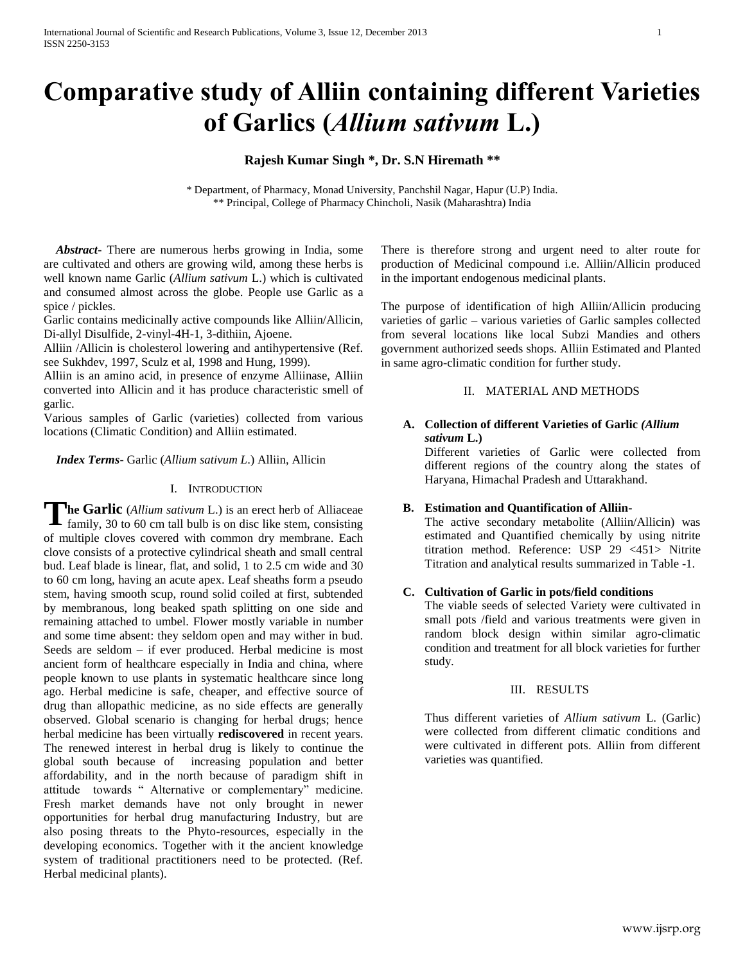# **Comparative study of Alliin containing different Varieties of Garlics (***Allium sativum* **L.)**

# **Rajesh Kumar Singh \*, Dr. S.N Hiremath \*\***

\* Department, of Pharmacy, Monad University, Panchshil Nagar, Hapur (U.P) India. \*\* Principal, College of Pharmacy Chincholi, Nasik (Maharashtra) India

 *Abstract***-** There are numerous herbs growing in India, some are cultivated and others are growing wild, among these herbs is well known name Garlic (*Allium sativum* L.) which is cultivated and consumed almost across the globe. People use Garlic as a spice / pickles.

Garlic contains medicinally active compounds like Alliin/Allicin, Di-allyl Disulfide, 2-vinyl-4H-1, 3-dithiin, Ajoene.

Alliin /Allicin is cholesterol lowering and antihypertensive (Ref. see Sukhdev, 1997, Sculz et al, 1998 and Hung, 1999).

Alliin is an amino acid, in presence of enzyme Alliinase, Alliin converted into Allicin and it has produce characteristic smell of garlic.

Various samples of Garlic (varieties) collected from various locations (Climatic Condition) and Alliin estimated.

 *Index Terms*- Garlic (*Allium sativum L*.) Alliin, Allicin

# I. INTRODUCTION

The Garlic (*Allium sativum* L.) is an erect herb of Alliaceae family, 30 to 60 cm tall bulb is on disc like stem, consisting family, 30 to 60 cm tall bulb is on disc like stem, consisting of multiple cloves covered with common dry membrane. Each clove consists of a protective cylindrical sheath and small central bud. Leaf blade is linear, flat, and solid, 1 to 2.5 cm wide and 30 to 60 cm long, having an acute apex. Leaf sheaths form a pseudo stem, having smooth scup, round solid coiled at first, subtended by membranous, long beaked spath splitting on one side and remaining attached to umbel. Flower mostly variable in number and some time absent: they seldom open and may wither in bud. Seeds are seldom – if ever produced. Herbal medicine is most ancient form of healthcare especially in India and china, where people known to use plants in systematic healthcare since long ago. Herbal medicine is safe, cheaper, and effective source of drug than allopathic medicine, as no side effects are generally observed. Global scenario is changing for herbal drugs; hence herbal medicine has been virtually **rediscovered** in recent years. The renewed interest in herbal drug is likely to continue the global south because of increasing population and better affordability, and in the north because of paradigm shift in attitude towards " Alternative or complementary" medicine. Fresh market demands have not only brought in newer opportunities for herbal drug manufacturing Industry, but are also posing threats to the Phyto-resources, especially in the developing economics. Together with it the ancient knowledge system of traditional practitioners need to be protected. (Ref. Herbal medicinal plants).

There is therefore strong and urgent need to alter route for production of Medicinal compound i.e. Alliin/Allicin produced in the important endogenous medicinal plants.

The purpose of identification of high Alliin/Allicin producing varieties of garlic – various varieties of Garlic samples collected from several locations like local Subzi Mandies and others government authorized seeds shops. Alliin Estimated and Planted in same agro-climatic condition for further study.

# II. MATERIAL AND METHODS

# **A. Collection of different Varieties of Garlic** *(Allium sativum* **L.)**

Different varieties of Garlic were collected from different regions of the country along the states of Haryana, Himachal Pradesh and Uttarakhand.

# **B. Estimation and Quantification of Alliin-**

The active secondary metabolite (Alliin/Allicin) was estimated and Quantified chemically by using nitrite titration method. Reference: USP 29 <451> Nitrite Titration and analytical results summarized in Table -1.

# **C. Cultivation of Garlic in pots/field conditions**

The viable seeds of selected Variety were cultivated in small pots /field and various treatments were given in random block design within similar agro-climatic condition and treatment for all block varieties for further study.

#### III. RESULTS

Thus different varieties of *Allium sativum* L. (Garlic) were collected from different climatic conditions and were cultivated in different pots. Alliin from different varieties was quantified.